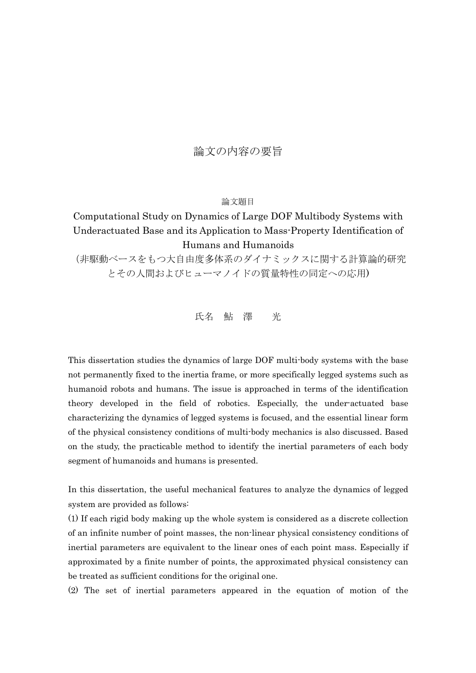## 論文の内容の要旨

## 論文題目

## Computational Study on Dynamics of Large DOF Multibody Systems with Underactuated Base and its Application to Mass-Property Identification of Humans and Humanoids

(非駆動ベースをもつ大自由度多体系のダイナミックスに関する計算論的研究 とその人間およびヒューマノイドの質量特性の同定への応用)

氏名 鮎 澤 光

This dissertation studies the dynamics of large DOF multi-body systems with the base not permanently fixed to the inertia frame, or more specifically legged systems such as humanoid robots and humans. The issue is approached in terms of the identification theory developed in the field of robotics. Especially, the under-actuated base characterizing the dynamics of legged systems is focused, and the essential linear form of the physical consistency conditions of multi-body mechanics is also discussed. Based on the study, the practicable method to identify the inertial parameters of each body segment of humanoids and humans is presented.

In this dissertation, the useful mechanical features to analyze the dynamics of legged system are provided as follows:

(1) If each rigid body making up the whole system is considered as a discrete collection of an infinite number of point masses, the non-linear physical consistency conditions of inertial parameters are equivalent to the linear ones of each point mass. Especially if approximated by a finite number of points, the approximated physical consistency can be treated as sufficient conditions for the original one.

(2) The set of inertial parameters appeared in the equation of motion of the